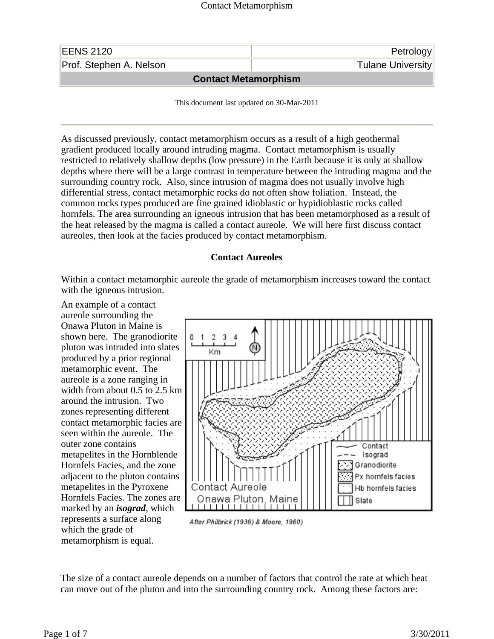| Prof. Stephen A. Nelson | Petrology<br><b>Tulane University</b> |
|-------------------------|---------------------------------------|
|                         | <b>Contact Metamorphism</b>           |

This document last updated on 30-Mar-2011

As discussed previously, contact metamorphism occurs as a result of a high geothermal gradient produced locally around intruding magma. Contact metamorphism is usually restricted to relatively shallow depths (low pressure) in the Earth because it is only at shallow depths where there will be a large contrast in temperature between the intruding magma and the surrounding country rock. Also, since intrusion of magma does not usually involve high differential stress, contact metamorphic rocks do not often show foliation. Instead, the common rocks types produced are fine grained idioblastic or hypidioblastic rocks called hornfels. The area surrounding an igneous intrusion that has been metamorphosed as a result of the heat released by the magma is called a contact aureole. We will here first discuss contact aureoles, then look at the facies produced by contact metamorphism.

### **Contact Aureoles**

Within a contact metamorphic aureole the grade of metamorphism increases toward the contact with the igneous intrusion.

An example of a contact aureole surrounding the Onawa Pluton in Maine is shown here. The granodiorite pluton was intruded into slates produced by a prior regional metamorphic event. The aureole is a zone ranging in width from about 0.5 to 2.5 km around the intrusion. Two zones representing different contact metamorphic facies are seen within the aureole. The outer zone contains metapelites in the Hornblende Hornfels Facies, and the zone adjacent to the pluton contains metapelites in the Pyroxene Hornfels Facies. The zones are marked by an *isograd*, which represents a surface along which the grade of metamorphism is equal.



After Philbrick (1936) & Moore, 1960)

The size of a contact aureole depends on a number of factors that control the rate at which heat can move out of the pluton and into the surrounding country rock. Among these factors are: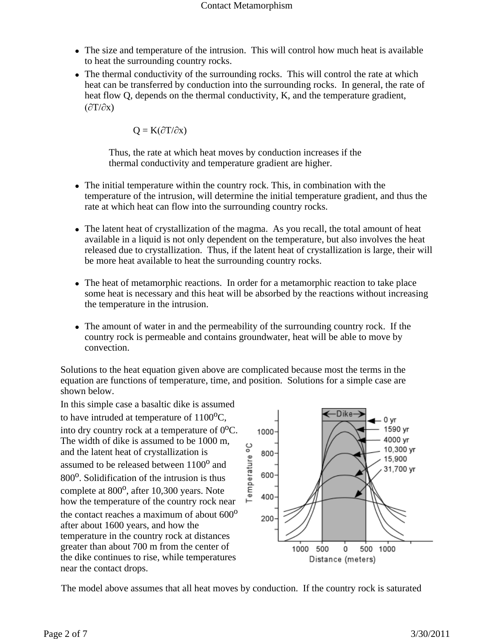- The size and temperature of the intrusion. This will control how much heat is available to heat the surrounding country rocks.
- The thermal conductivity of the surrounding rocks. This will control the rate at which heat can be transferred by conduction into the surrounding rocks. In general, the rate of heat flow Q, depends on the thermal conductivity, K, and the temperature gradient,  $(\partial T/\partial x)$

$$
Q = K(\partial T/\partial x)
$$

Thus, the rate at which heat moves by conduction increases if the thermal conductivity and temperature gradient are higher.

- The initial temperature within the country rock. This, in combination with the temperature of the intrusion, will determine the initial temperature gradient, and thus the rate at which heat can flow into the surrounding country rocks.
- The latent heat of crystallization of the magma. As you recall, the total amount of heat available in a liquid is not only dependent on the temperature, but also involves the heat released due to crystallization. Thus, if the latent heat of crystallization is large, their will be more heat available to heat the surrounding country rocks.
- The heat of metamorphic reactions. In order for a metamorphic reaction to take place some heat is necessary and this heat will be absorbed by the reactions without increasing the temperature in the intrusion.
- The amount of water in and the permeability of the surrounding country rock. If the country rock is permeable and contains groundwater, heat will be able to move by convection.

Solutions to the heat equation given above are complicated because most the terms in the equation are functions of temperature, time, and position. Solutions for a simple case are shown below.

In this simple case a basaltic dike is assumed to have intruded at temperature of  $1100^{\circ}$ C, into dry country rock at a temperature of  $0^{\circ}$ C. The width of dike is assumed to be 1000 m, and the latent heat of crystallization is assumed to be released between  $1100^{\circ}$  and 800<sup>o</sup>. Solidification of the intrusion is thus complete at  $800^{\circ}$ , after 10,300 years. Note how the temperature of the country rock near the contact reaches a maximum of about  $600^{\circ}$ after about 1600 years, and how the temperature in the country rock at distances greater than about 700 m from the center of the dike continues to rise, while temperatures near the contact drops.



The model above assumes that all heat moves by conduction. If the country rock is saturated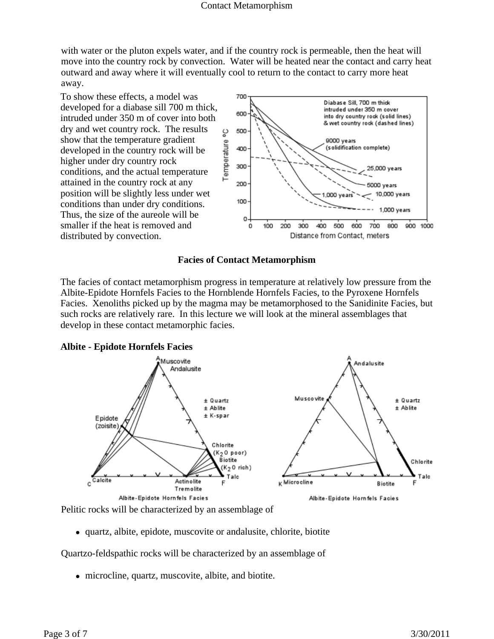with water or the pluton expels water, and if the country rock is permeable, then the heat will move into the country rock by convection. Water will be heated near the contact and carry heat outward and away where it will eventually cool to return to the contact to carry more heat away.

To show these effects, a model was developed for a diabase sill 700 m thick, intruded under 350 m of cover into both dry and wet country rock. The results show that the temperature gradient developed in the country rock will be higher under dry country rock conditions, and the actual temperature attained in the country rock at any position will be slightly less under wet conditions than under dry conditions. Thus, the size of the aureole will be smaller if the heat is removed and distributed by convection.



### **Facies of Contact Metamorphism**

The facies of contact metamorphism progress in temperature at relatively low pressure from the Albite-Epidote Hornfels Facies to the Hornblende Hornfels Facies, to the Pyroxene Hornfels Facies. Xenoliths picked up by the magma may be metamorphosed to the Sanidinite Facies, but such rocks are relatively rare. In this lecture we will look at the mineral assemblages that develop in these contact metamorphic facies.





Pelitic rocks will be characterized by an assemblage of

• quartz, albite, epidote, muscovite or andalusite, chlorite, biotite

Quartzo-feldspathic rocks will be characterized by an assemblage of

• microcline, quartz, muscovite, albite, and biotite.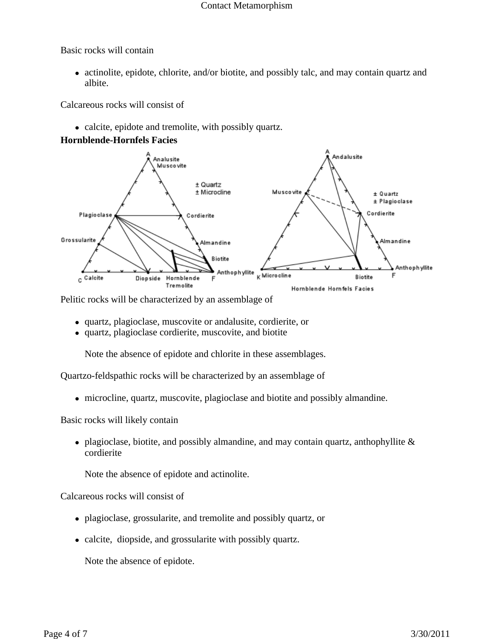### Contact Metamorphism

Basic rocks will contain

• actinolite, epidote, chlorite, and/or biotite, and possibly talc, and may contain quartz and albite.

Calcareous rocks will consist of

• calcite, epidote and tremolite, with possibly quartz.

# **Hornblende-Hornfels Facies**



Pelitic rocks will be characterized by an assemblage of

- quartz, plagioclase, muscovite or andalusite, cordierite, or
- quartz, plagioclase cordierite, muscovite, and biotite

Note the absence of epidote and chlorite in these assemblages.

Quartzo-feldspathic rocks will be characterized by an assemblage of

• microcline, quartz, muscovite, plagioclase and biotite and possibly almandine.

Basic rocks will likely contain

• plagioclase, biotite, and possibly almandine, and may contain quartz, anthophyllite  $\&$ cordierite

Note the absence of epidote and actinolite.

Calcareous rocks will consist of

- plagioclase, grossularite, and tremolite and possibly quartz, or
- calcite, diopside, and grossularite with possibly quartz.

Note the absence of epidote.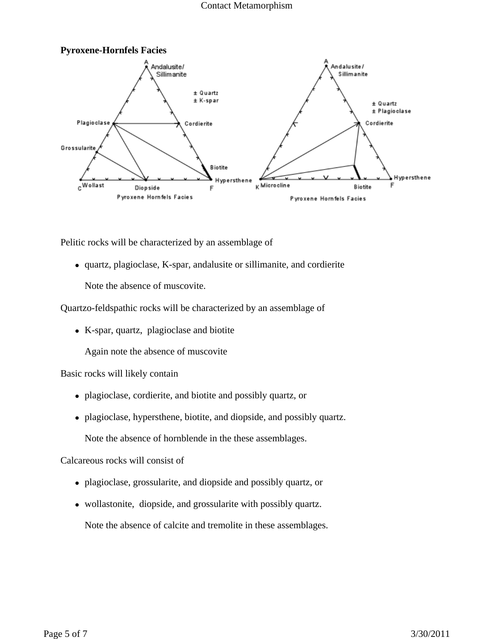#### Contact Metamorphism



Pelitic rocks will be characterized by an assemblage of

• quartz, plagioclase, K-spar, andalusite or sillimanite, and cordierite

Note the absence of muscovite.

Quartzo-feldspathic rocks will be characterized by an assemblage of

• K-spar, quartz, plagioclase and biotite

Again note the absence of muscovite

# Basic rocks will likely contain

- plagioclase, cordierite, and biotite and possibly quartz, or
- plagioclase, hypersthene, biotite, and diopside, and possibly quartz.

Note the absence of hornblende in the these assemblages.

# Calcareous rocks will consist of

- plagioclase, grossularite, and diopside and possibly quartz, or
- wollastonite, diopside, and grossularite with possibly quartz.

Note the absence of calcite and tremolite in these assemblages.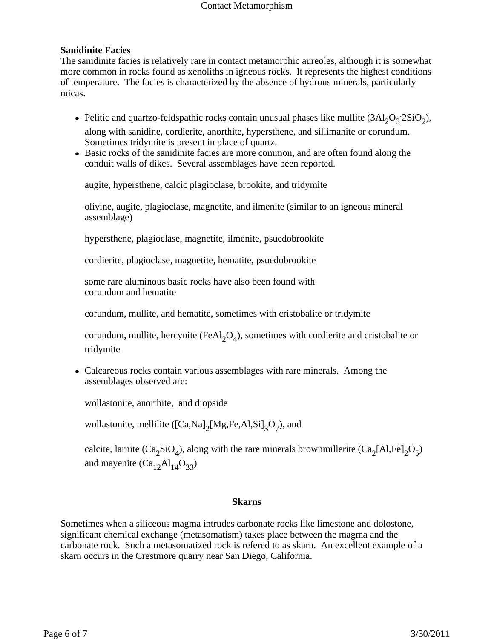#### Contact Metamorphism

# **Sanidinite Facies**

The sanidinite facies is relatively rare in contact metamorphic aureoles, although it is somewhat more common in rocks found as xenoliths in igneous rocks. It represents the highest conditions of temperature. The facies is characterized by the absence of hydrous minerals, particularly micas.

- Pelitic and quartzo-feldspathic rocks contain unusual phases like mullite  $(3Al_2O_3.2SiO_2)$ , along with sanidine, cordierite, anorthite, hypersthene, and sillimanite or corundum. Sometimes tridymite is present in place of quartz.
- Basic rocks of the sanidinite facies are more common, and are often found along the conduit walls of dikes. Several assemblages have been reported.

augite, hypersthene, calcic plagioclase, brookite, and tridymite

olivine, augite, plagioclase, magnetite, and ilmenite (similar to an igneous mineral assemblage)

hypersthene, plagioclase, magnetite, ilmenite, psuedobrookite

cordierite, plagioclase, magnetite, hematite, psuedobrookite

some rare aluminous basic rocks have also been found with corundum and hematite

corundum, mullite, and hematite, sometimes with cristobalite or tridymite

corundum, mullite, hercynite (FeAl<sub>2</sub>O<sub>4</sub>), sometimes with cordierite and cristobalite or tridymite

• Calcareous rocks contain various assemblages with rare minerals. Among the assemblages observed are:

wollastonite, anorthite, and diopside

wollastonite, mellilite ( $[Ca,Na]_2[Mg,Fe,Al,Si]_3O_7$ ), and

calcite, larnite (Ca<sub>2</sub>SiO<sub>4</sub>), along with the rare minerals brownmillerite (Ca<sub>2</sub>[Al,Fe]<sub>2</sub>O<sub>5</sub>) and mayenite  $(Ca_{12}Al_{14}O_{33})$ 

### **Skarns**

Sometimes when a siliceous magma intrudes carbonate rocks like limestone and dolostone, significant chemical exchange (metasomatism) takes place between the magma and the carbonate rock. Such a metasomatized rock is refered to as skarn. An excellent example of a skarn occurs in the Crestmore quarry near San Diego, California.